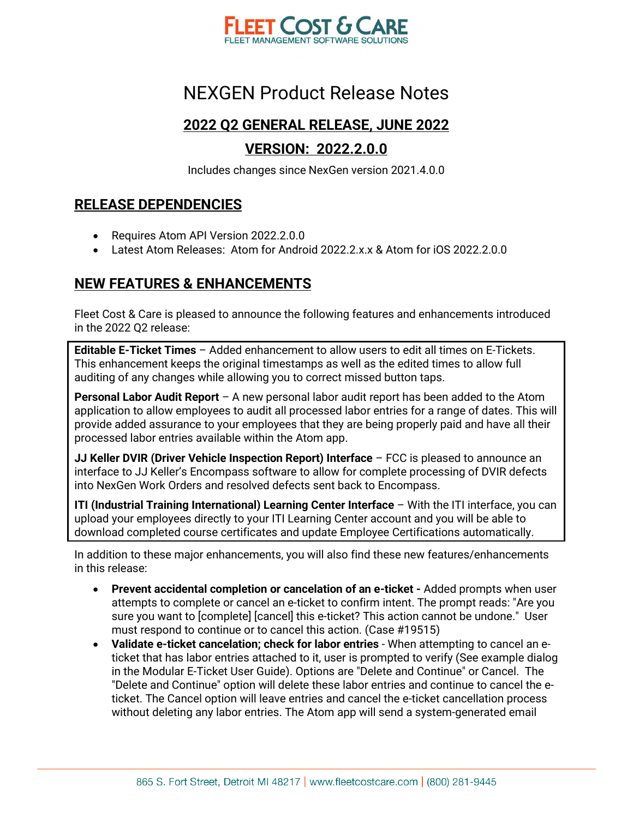

#### **2022 Q2 GENERAL RELEASE, JUNE 2022**

#### **VERSION: 2022.2.0.0**

Includes changes since NexGen version 2021.4.0.0

#### **RELEASE DEPENDENCIES**

- Requires Atom API Version 2022.2.0.0
- Latest Atom Releases: Atom for Android 2022.2.x.x & Atom for iOS 2022.2.0.0

#### **NEW FEATURES & ENHANCEMENTS**

Fleet Cost & Care is pleased to announce the following features and enhancements introduced in the 2022 Q2 release:

**Editable E-Ticket Times** – Added enhancement to allow users to edit all times on E-Tickets. This enhancement keeps the original timestamps as well as the edited times to allow full auditing of any changes while allowing you to correct missed button taps.

**Personal Labor Audit Report** – A new personal labor audit report has been added to the Atom application to allow employees to audit all processed labor entries for a range of dates. This will provide added assurance to your employees that they are being properly paid and have all their processed labor entries available within the Atom app.

**JJ Keller DVIR (Driver Vehicle Inspection Report) Interface** – FCC is pleased to announce an interface to JJ Keller's Encompass software to allow for complete processing of DVIR defects into NexGen Work Orders and resolved defects sent back to Encompass.

**ITI (Industrial Training International) Learning Center Interface** – With the ITI interface, you can upload your employees directly to your ITI Learning Center account and you will be able to download completed course certificates and update Employee Certifications automatically.

In addition to these major enhancements, you will also find these new features/enhancements in this release:

- **Prevent accidental completion or cancelation of an e-ticket** Added prompts when user attempts to complete or cancel an e-ticket to confirm intent. The prompt reads: "Are you sure you want to [complete] [cancel] this e-ticket? This action cannot be undone." User must respond to continue or to cancel this action. (Case #19515)
- **Validate e-ticket cancelation; check for labor entries** When attempting to cancel an eticket that has labor entries attached to it, user is prompted to verify (See example dialog in the Modular E-Ticket User Guide). Options are "Delete and Continue" or Cancel. The "Delete and Continue" option will delete these labor entries and continue to cancel the eticket. The Cancel option will leave entries and cancel the e-ticket cancellation process without deleting any labor entries. The Atom app will send a system-generated email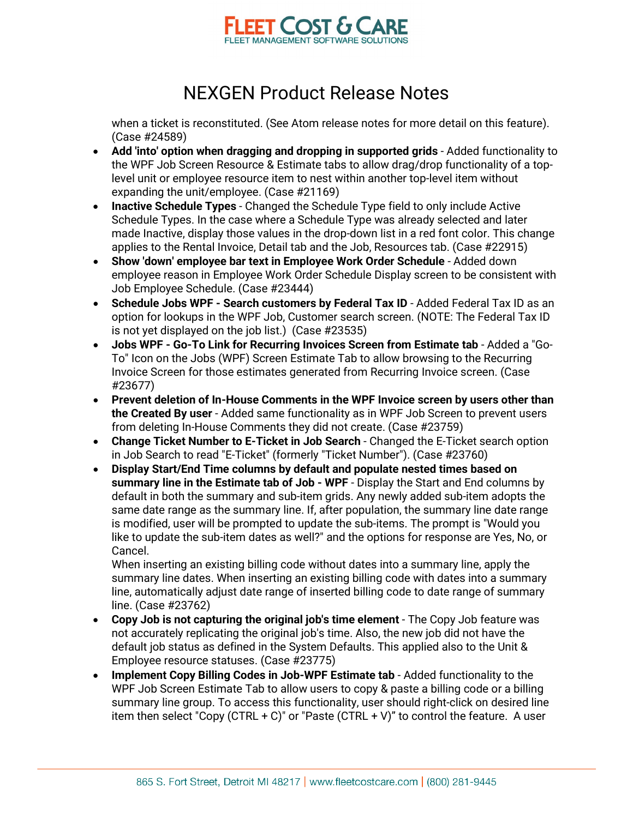

when a ticket is reconstituted. (See Atom release notes for more detail on this feature). (Case #24589)

- **Add 'into' option when dragging and dropping in supported grids** Added functionality to the WPF Job Screen Resource & Estimate tabs to allow drag/drop functionality of a toplevel unit or employee resource item to nest within another top-level item without expanding the unit/employee. (Case #21169)
- **Inactive Schedule Types** Changed the Schedule Type field to only include Active Schedule Types. In the case where a Schedule Type was already selected and later made Inactive, display those values in the drop-down list in a red font color. This change applies to the Rental Invoice, Detail tab and the Job, Resources tab. (Case #22915)
- **Show 'down' employee bar text in Employee Work Order Schedule** Added down employee reason in Employee Work Order Schedule Display screen to be consistent with Job Employee Schedule. (Case #23444)
- **Schedule Jobs WPF - Search customers by Federal Tax ID** Added Federal Tax ID as an option for lookups in the WPF Job, Customer search screen. (NOTE: The Federal Tax ID is not yet displayed on the job list.) (Case #23535)
- **Jobs WPF - Go-To Link for Recurring Invoices Screen from Estimate tab** Added a "Go-To" Icon on the Jobs (WPF) Screen Estimate Tab to allow browsing to the Recurring Invoice Screen for those estimates generated from Recurring Invoice screen. (Case #23677)
- **Prevent deletion of In-House Comments in the WPF Invoice screen by users other than the Created By user** - Added same functionality as in WPF Job Screen to prevent users from deleting In-House Comments they did not create. (Case #23759)
- **Change Ticket Number to E-Ticket in Job Search** Changed the E-Ticket search option in Job Search to read "E-Ticket" (formerly "Ticket Number"). (Case #23760)
- **Display Start/End Time columns by default and populate nested times based on summary line in the Estimate tab of Job - WPF** - Display the Start and End columns by default in both the summary and sub-item grids. Any newly added sub-item adopts the same date range as the summary line. If, after population, the summary line date range is modified, user will be prompted to update the sub-items. The prompt is "Would you like to update the sub-item dates as well?" and the options for response are Yes, No, or Cancel.

When inserting an existing billing code without dates into a summary line, apply the summary line dates. When inserting an existing billing code with dates into a summary line, automatically adjust date range of inserted billing code to date range of summary line. (Case #23762)

- **Copy Job is not capturing the original job's time element** The Copy Job feature was not accurately replicating the original job's time. Also, the new job did not have the default job status as defined in the System Defaults. This applied also to the Unit & Employee resource statuses. (Case #23775)
- **Implement Copy Billing Codes in Job-WPF Estimate tab** Added functionality to the WPF Job Screen Estimate Tab to allow users to copy & paste a billing code or a billing summary line group. To access this functionality, user should right-click on desired line item then select "Copy (CTRL + C)" or "Paste (CTRL + V)" to control the feature. A user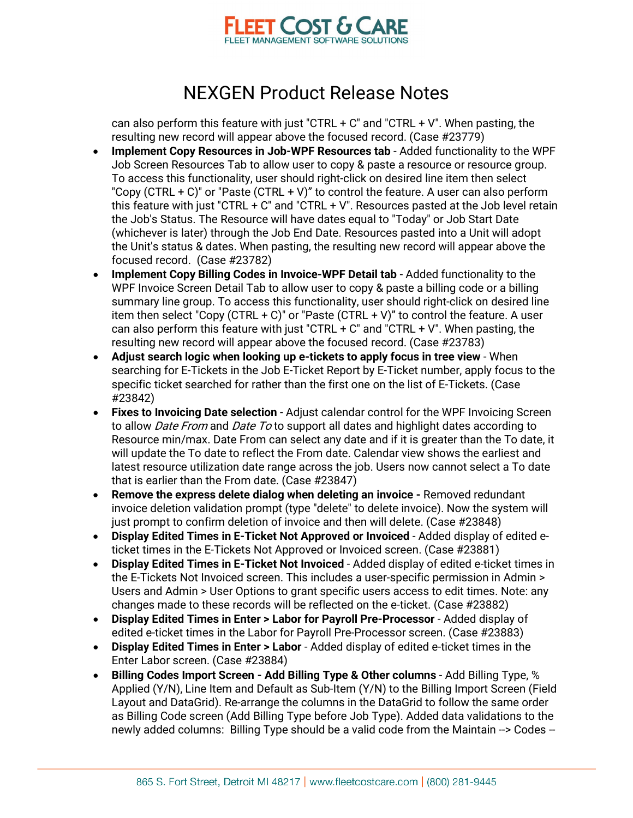

can also perform this feature with just "CTRL  $+$  C" and "CTRL  $+$  V". When pasting, the resulting new record will appear above the focused record. (Case #23779)

- **Implement Copy Resources in Job-WPF Resources tab** Added functionality to the WPF Job Screen Resources Tab to allow user to copy & paste a resource or resource group. To access this functionality, user should right-click on desired line item then select "Copy (CTRL  $+$  C)" or "Paste (CTRL  $+$  V)" to control the feature. A user can also perform this feature with just "CTRL + C" and "CTRL + V". Resources pasted at the Job level retain the Job's Status. The Resource will have dates equal to "Today" or Job Start Date (whichever is later) through the Job End Date. Resources pasted into a Unit will adopt the Unit's status & dates. When pasting, the resulting new record will appear above the focused record. (Case #23782)
- **Implement Copy Billing Codes in Invoice-WPF Detail tab** Added functionality to the WPF Invoice Screen Detail Tab to allow user to copy & paste a billing code or a billing summary line group. To access this functionality, user should right-click on desired line item then select "Copy (CTRL + C)" or "Paste (CTRL + V)" to control the feature. A user can also perform this feature with just "CTRL  $+$  C" and "CTRL  $+$  V". When pasting, the resulting new record will appear above the focused record. (Case #23783)
- **Adjust search logic when looking up e-tickets to apply focus in tree view** When searching for E-Tickets in the Job E-Ticket Report by E-Ticket number, apply focus to the specific ticket searched for rather than the first one on the list of E-Tickets. (Case #23842)
- **Fixes to Invoicing Date selection** Adjust calendar control for the WPF Invoicing Screen to allow *Date From* and *Date To* to support all dates and highlight dates according to Resource min/max. Date From can select any date and if it is greater than the To date, it will update the To date to reflect the From date. Calendar view shows the earliest and latest resource utilization date range across the job. Users now cannot select a To date that is earlier than the From date. (Case #23847)
- **Remove the express delete dialog when deleting an invoice -** Removed redundant invoice deletion validation prompt (type "delete" to delete invoice). Now the system will just prompt to confirm deletion of invoice and then will delete. (Case #23848)
- **Display Edited Times in E-Ticket Not Approved or Invoiced** Added display of edited eticket times in the E-Tickets Not Approved or Invoiced screen. (Case #23881)
- **Display Edited Times in E-Ticket Not Invoiced** Added display of edited e-ticket times in the E-Tickets Not Invoiced screen. This includes a user-specific permission in Admin > Users and Admin > User Options to grant specific users access to edit times. Note: any changes made to these records will be reflected on the e-ticket. (Case #23882)
- **Display Edited Times in Enter > Labor for Payroll Pre-Processor** Added display of edited e-ticket times in the Labor for Payroll Pre-Processor screen. (Case #23883)
- **Display Edited Times in Enter > Labor** Added display of edited e-ticket times in the Enter Labor screen. (Case #23884)
- **Billing Codes Import Screen - Add Billing Type & Other columns** Add Billing Type, % Applied (Y/N), Line Item and Default as Sub-Item (Y/N) to the Billing Import Screen (Field Layout and DataGrid). Re-arrange the columns in the DataGrid to follow the same order as Billing Code screen (Add Billing Type before Job Type). Added data validations to the newly added columns: Billing Type should be a valid code from the Maintain --> Codes --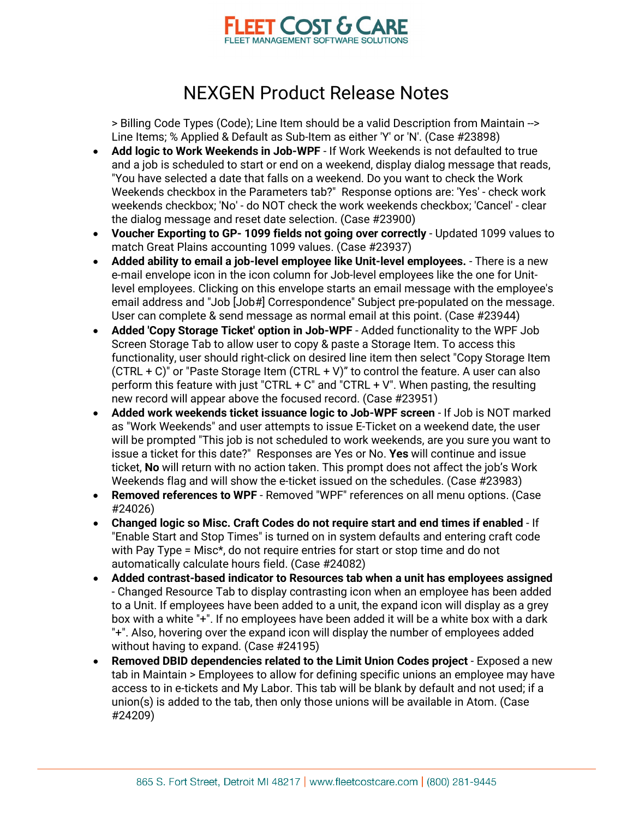

> Billing Code Types (Code); Line Item should be a valid Description from Maintain --> Line Items; % Applied & Default as Sub-Item as either 'Y' or 'N'. (Case #23898)

- **Add logic to Work Weekends in Job-WPF** If Work Weekends is not defaulted to true and a job is scheduled to start or end on a weekend, display dialog message that reads, "You have selected a date that falls on a weekend. Do you want to check the Work Weekends checkbox in the Parameters tab?" Response options are: 'Yes' - check work weekends checkbox; 'No' - do NOT check the work weekends checkbox; 'Cancel' - clear the dialog message and reset date selection. (Case #23900)
- **Voucher Exporting to GP- 1099 fields not going over correctly** Updated 1099 values to match Great Plains accounting 1099 values. (Case #23937)
- **Added ability to email a job-level employee like Unit-level employees.** There is a new e-mail envelope icon in the icon column for Job-level employees like the one for Unitlevel employees. Clicking on this envelope starts an email message with the employee's email address and "Job [Job#] Correspondence" Subject pre-populated on the message. User can complete & send message as normal email at this point. (Case #23944)
- **Added 'Copy Storage Ticket' option in Job-WPF** Added functionality to the WPF Job Screen Storage Tab to allow user to copy & paste a Storage Item. To access this functionality, user should right-click on desired line item then select "Copy Storage Item  $(CTRL + C)'$  or "Paste Storage Item  $(CTRL + V)''$  to control the feature. A user can also perform this feature with just "CTRL + C" and "CTRL + V". When pasting, the resulting new record will appear above the focused record. (Case #23951)
- **Added work weekends ticket issuance logic to Job-WPF screen** If Job is NOT marked as "Work Weekends" and user attempts to issue E-Ticket on a weekend date, the user will be prompted "This job is not scheduled to work weekends, are you sure you want to issue a ticket for this date?" Responses are Yes or No. **Yes** will continue and issue ticket, **No** will return with no action taken. This prompt does not affect the job's Work Weekends flag and will show the e-ticket issued on the schedules. (Case #23983)
- **Removed references to WPF** Removed "WPF" references on all menu options. (Case #24026)
- **Changed logic so Misc. Craft Codes do not require start and end times if enabled** If "Enable Start and Stop Times" is turned on in system defaults and entering craft code with Pay Type = Misc\*, do not require entries for start or stop time and do not automatically calculate hours field. (Case #24082)
- **Added contrast-based indicator to Resources tab when a unit has employees assigned** - Changed Resource Tab to display contrasting icon when an employee has been added to a Unit. If employees have been added to a unit, the expand icon will display as a grey box with a white "+". If no employees have been added it will be a white box with a dark "+". Also, hovering over the expand icon will display the number of employees added without having to expand. (Case #24195)
- **Removed DBID dependencies related to the Limit Union Codes project** Exposed a new tab in Maintain > Employees to allow for defining specific unions an employee may have access to in e-tickets and My Labor. This tab will be blank by default and not used; if a union(s) is added to the tab, then only those unions will be available in Atom. (Case #24209)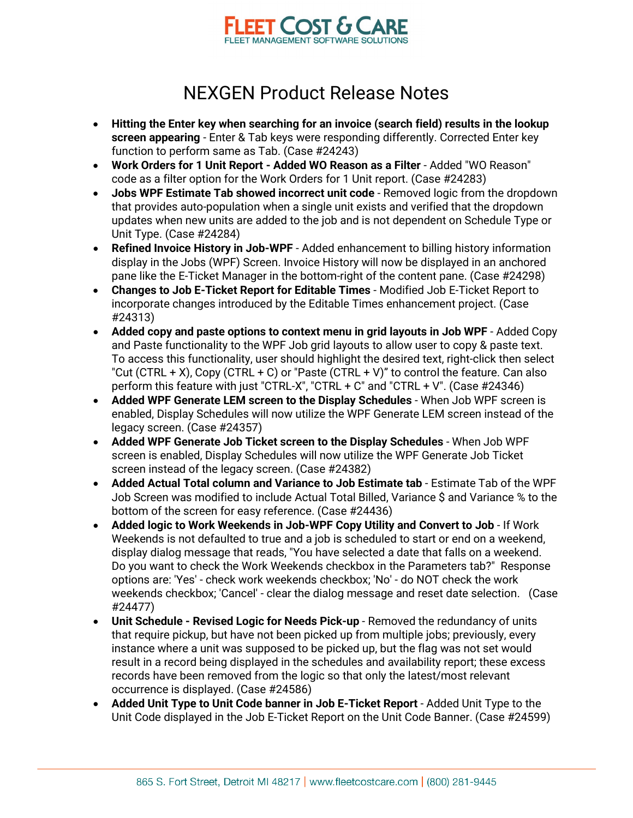

- **Hitting the Enter key when searching for an invoice (search field) results in the lookup screen appearing** - Enter & Tab keys were responding differently. Corrected Enter key function to perform same as Tab. (Case #24243)
- **Work Orders for 1 Unit Report - Added WO Reason as a Filter** Added "WO Reason" code as a filter option for the Work Orders for 1 Unit report. (Case #24283)
- **Jobs WPF Estimate Tab showed incorrect unit code** Removed logic from the dropdown that provides auto-population when a single unit exists and verified that the dropdown updates when new units are added to the job and is not dependent on Schedule Type or Unit Type. (Case #24284)
- **Refined Invoice History in Job-WPF** Added enhancement to billing history information display in the Jobs (WPF) Screen. Invoice History will now be displayed in an anchored pane like the E-Ticket Manager in the bottom-right of the content pane. (Case #24298)
- **Changes to Job E-Ticket Report for Editable Times**  Modified Job E-Ticket Report to incorporate changes introduced by the Editable Times enhancement project. (Case #24313)
- **Added copy and paste options to context menu in grid layouts in Job WPF** Added Copy and Paste functionality to the WPF Job grid layouts to allow user to copy & paste text. To access this functionality, user should highlight the desired text, right-click then select "Cut (CTRL + X), Copy (CTRL + C) or "Paste (CTRL + V)" to control the feature. Can also perform this feature with just "CTRL-X", "CTRL + C" and "CTRL + V". (Case #24346)
- **Added WPF Generate LEM screen to the Display Schedules** When Job WPF screen is enabled, Display Schedules will now utilize the WPF Generate LEM screen instead of the legacy screen. (Case #24357)
- **Added WPF Generate Job Ticket screen to the Display Schedules** When Job WPF screen is enabled, Display Schedules will now utilize the WPF Generate Job Ticket screen instead of the legacy screen. (Case #24382)
- **Added Actual Total column and Variance to Job Estimate tab** Estimate Tab of the WPF Job Screen was modified to include Actual Total Billed, Variance \$ and Variance % to the bottom of the screen for easy reference. (Case #24436)
- **Added logic to Work Weekends in Job-WPF Copy Utility and Convert to Job** If Work Weekends is not defaulted to true and a job is scheduled to start or end on a weekend, display dialog message that reads, "You have selected a date that falls on a weekend. Do you want to check the Work Weekends checkbox in the Parameters tab?" Response options are: 'Yes' - check work weekends checkbox; 'No' - do NOT check the work weekends checkbox; 'Cancel' - clear the dialog message and reset date selection. (Case #24477)
- **Unit Schedule - Revised Logic for Needs Pick-up** Removed the redundancy of units that require pickup, but have not been picked up from multiple jobs; previously, every instance where a unit was supposed to be picked up, but the flag was not set would result in a record being displayed in the schedules and availability report; these excess records have been removed from the logic so that only the latest/most relevant occurrence is displayed. (Case #24586)
- **Added Unit Type to Unit Code banner in Job E-Ticket Report** Added Unit Type to the Unit Code displayed in the Job E-Ticket Report on the Unit Code Banner. (Case #24599)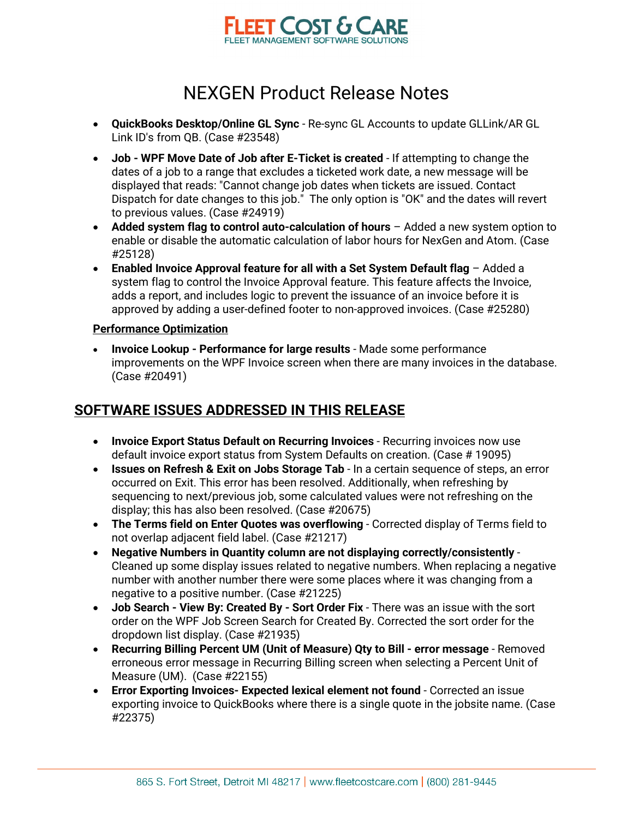

- **QuickBooks Desktop/Online GL Sync** Re-sync GL Accounts to update GLLink/AR GL Link ID's from QB. (Case #23548)
- **Job WPF Move Date of Job after E-Ticket is created** If attempting to change the dates of a job to a range that excludes a ticketed work date, a new message will be displayed that reads: "Cannot change job dates when tickets are issued. Contact Dispatch for date changes to this job." The only option is "OK" and the dates will revert to previous values. (Case #24919)
- Added system flag to control auto-calculation of hours Added a new system option to enable or disable the automatic calculation of labor hours for NexGen and Atom. (Case #25128)
- **Enabled Invoice Approval feature for all with a Set System Default flag**  Added a system flag to control the Invoice Approval feature. This feature affects the Invoice, adds a report, and includes logic to prevent the issuance of an invoice before it is approved by adding a user-defined footer to non-approved invoices. (Case #25280)

#### **Performance Optimization**

• **Invoice Lookup - Performance for large results** - Made some performance improvements on the WPF Invoice screen when there are many invoices in the database. (Case #20491)

#### **SOFTWARE ISSUES ADDRESSED IN THIS RELEASE**

- **Invoice Export Status Default on Recurring Invoices** Recurring invoices now use default invoice export status from System Defaults on creation. (Case # 19095)
- **Issues on Refresh & Exit on Jobs Storage Tab** In a certain sequence of steps, an error occurred on Exit. This error has been resolved. Additionally, when refreshing by sequencing to next/previous job, some calculated values were not refreshing on the display; this has also been resolved. (Case #20675)
- **The Terms field on Enter Quotes was overflowing** Corrected display of Terms field to not overlap adjacent field label. (Case #21217)
- **Negative Numbers in Quantity column are not displaying correctly/consistently** Cleaned up some display issues related to negative numbers. When replacing a negative number with another number there were some places where it was changing from a negative to a positive number. (Case #21225)
- **Job Search View By: Created By Sort Order Fix** There was an issue with the sort order on the WPF Job Screen Search for Created By. Corrected the sort order for the dropdown list display. (Case #21935)
- **Recurring Billing Percent UM (Unit of Measure) Qty to Bill error message** Removed erroneous error message in Recurring Billing screen when selecting a Percent Unit of Measure (UM). (Case #22155)
- **Error Exporting Invoices- Expected lexical element not found** Corrected an issue exporting invoice to QuickBooks where there is a single quote in the jobsite name. (Case #22375)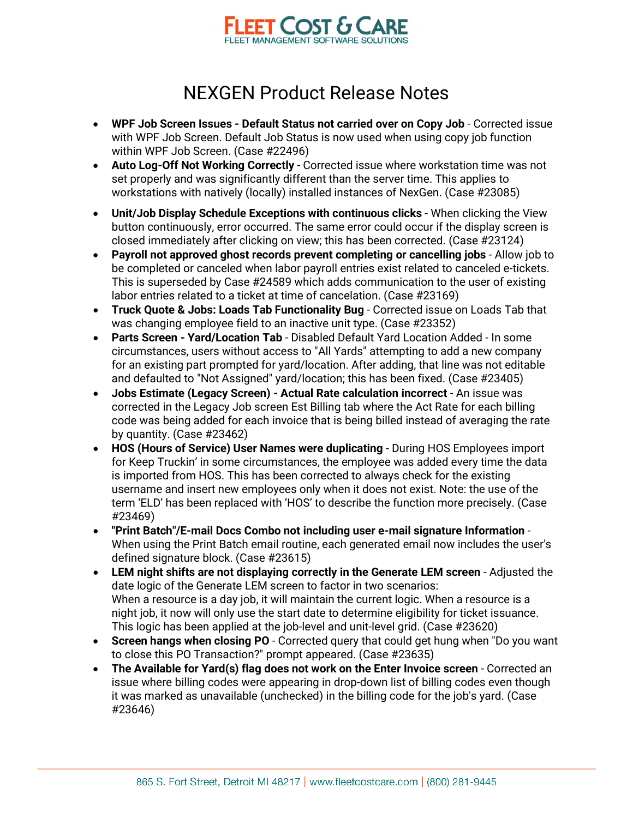

- **WPF Job Screen Issues - Default Status not carried over on Copy Job** Corrected issue with WPF Job Screen. Default Job Status is now used when using copy job function within WPF Job Screen. (Case #22496)
- **Auto Log-Off Not Working Correctly** Corrected issue where workstation time was not set properly and was significantly different than the server time. This applies to workstations with natively (locally) installed instances of NexGen. (Case #23085)
- **Unit/Job Display Schedule Exceptions with continuous clicks** When clicking the View button continuously, error occurred. The same error could occur if the display screen is closed immediately after clicking on view; this has been corrected. (Case #23124)
- **Payroll not approved ghost records prevent completing or cancelling jobs** Allow job to be completed or canceled when labor payroll entries exist related to canceled e-tickets. This is superseded by Case #24589 which adds communication to the user of existing labor entries related to a ticket at time of cancelation. (Case #23169)
- **Truck Quote & Jobs: Loads Tab Functionality Bug** Corrected issue on Loads Tab that was changing employee field to an inactive unit type. (Case #23352)
- **Parts Screen - Yard/Location Tab** Disabled Default Yard Location Added In some circumstances, users without access to "All Yards" attempting to add a new company for an existing part prompted for yard/location. After adding, that line was not editable and defaulted to "Not Assigned" yard/location; this has been fixed. (Case #23405)
- **Jobs Estimate (Legacy Screen) - Actual Rate calculation incorrect** An issue was corrected in the Legacy Job screen Est Billing tab where the Act Rate for each billing code was being added for each invoice that is being billed instead of averaging the rate by quantity. (Case #23462)
- **HOS (Hours of Service) User Names were duplicating** During HOS Employees import for Keep Truckin' in some circumstances, the employee was added every time the data is imported from HOS. This has been corrected to always check for the existing username and insert new employees only when it does not exist. Note: the use of the term 'ELD' has been replaced with 'HOS' to describe the function more precisely. (Case #23469)
- **"Print Batch"/E-mail Docs Combo not including user e-mail signature Information** When using the Print Batch email routine, each generated email now includes the user's defined signature block. (Case #23615)
- **LEM night shifts are not displaying correctly in the Generate LEM screen** Adjusted the date logic of the Generate LEM screen to factor in two scenarios: When a resource is a day job, it will maintain the current logic. When a resource is a night job, it now will only use the start date to determine eligibility for ticket issuance. This logic has been applied at the job-level and unit-level grid. (Case #23620)
- **Screen hangs when closing PO** Corrected query that could get hung when "Do you want to close this PO Transaction?" prompt appeared. (Case #23635)
- **The Available for Yard(s) flag does not work on the Enter Invoice screen** Corrected an issue where billing codes were appearing in drop-down list of billing codes even though it was marked as unavailable (unchecked) in the billing code for the job's yard. (Case #23646)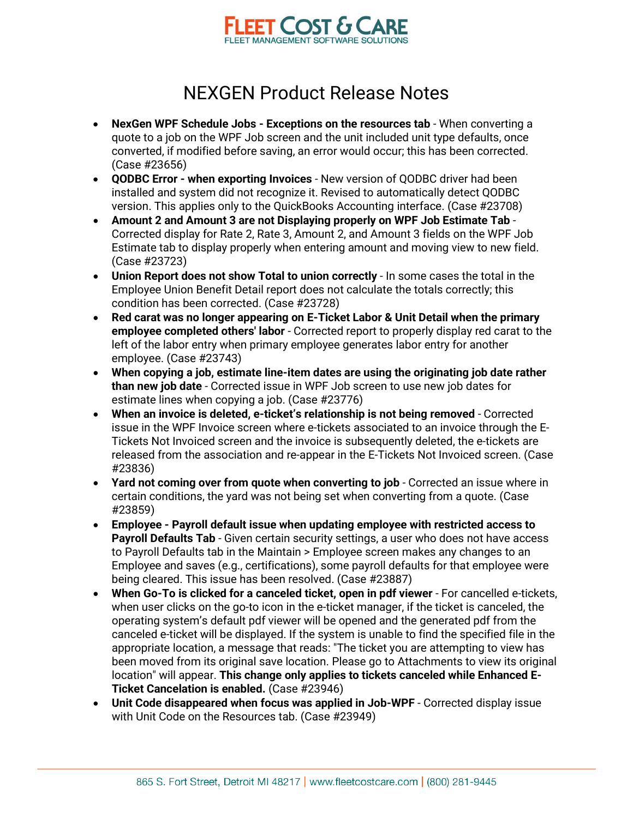

- **NexGen WPF Schedule Jobs - Exceptions on the resources tab** When converting a quote to a job on the WPF Job screen and the unit included unit type defaults, once converted, if modified before saving, an error would occur; this has been corrected. (Case #23656)
- **QODBC Error - when exporting Invoices** New version of QODBC driver had been installed and system did not recognize it. Revised to automatically detect QODBC version. This applies only to the QuickBooks Accounting interface. (Case #23708)
- **Amount 2 and Amount 3 are not Displaying properly on WPF Job Estimate Tab** Corrected display for Rate 2, Rate 3, Amount 2, and Amount 3 fields on the WPF Job Estimate tab to display properly when entering amount and moving view to new field. (Case #23723)
- **Union Report does not show Total to union correctly** In some cases the total in the Employee Union Benefit Detail report does not calculate the totals correctly; this condition has been corrected. (Case #23728)
- **Red carat was no longer appearing on E-Ticket Labor & Unit Detail when the primary employee completed others' labor** - Corrected report to properly display red carat to the left of the labor entry when primary employee generates labor entry for another employee. (Case #23743)
- **When copying a job, estimate line-item dates are using the originating job date rather than new job date** - Corrected issue in WPF Job screen to use new job dates for estimate lines when copying a job. (Case #23776)
- **When an invoice is deleted, e-ticket's relationship is not being removed** Corrected issue in the WPF Invoice screen where e-tickets associated to an invoice through the E-Tickets Not Invoiced screen and the invoice is subsequently deleted, the e-tickets are released from the association and re-appear in the E-Tickets Not Invoiced screen. (Case #23836)
- **Yard not coming over from quote when converting to job** Corrected an issue where in certain conditions, the yard was not being set when converting from a quote. (Case #23859)
- **Employee - Payroll default issue when updating employee with restricted access to Payroll Defaults Tab** - Given certain security settings, a user who does not have access to Payroll Defaults tab in the Maintain > Employee screen makes any changes to an Employee and saves (e.g., certifications), some payroll defaults for that employee were being cleared. This issue has been resolved. (Case #23887)
- **When Go-To is clicked for a canceled ticket, open in pdf viewer** For cancelled e-tickets, when user clicks on the go-to icon in the e-ticket manager, if the ticket is canceled, the operating system's default pdf viewer will be opened and the generated pdf from the canceled e-ticket will be displayed. If the system is unable to find the specified file in the appropriate location, a message that reads: "The ticket you are attempting to view has been moved from its original save location. Please go to Attachments to view its original location" will appear. **This change only applies to tickets canceled while Enhanced E-Ticket Cancelation is enabled.** (Case #23946)
- **Unit Code disappeared when focus was applied in Job-WPF** Corrected display issue with Unit Code on the Resources tab. (Case #23949)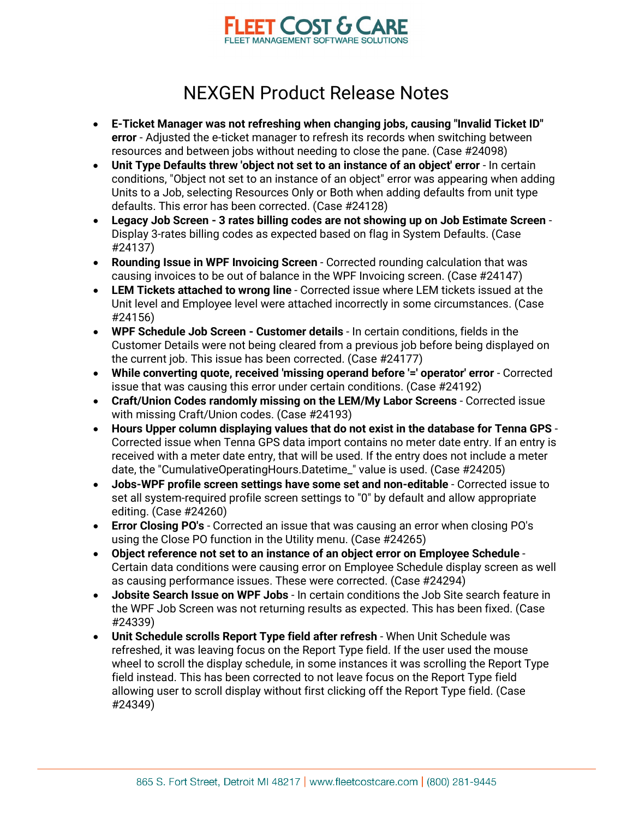

- **E-Ticket Manager was not refreshing when changing jobs, causing "Invalid Ticket ID" error** - Adjusted the e-ticket manager to refresh its records when switching between resources and between jobs without needing to close the pane. (Case #24098)
- **Unit Type Defaults threw 'object not set to an instance of an object' error** In certain conditions, "Object not set to an instance of an object" error was appearing when adding Units to a Job, selecting Resources Only or Both when adding defaults from unit type defaults. This error has been corrected. (Case #24128)
- **Legacy Job Screen - 3 rates billing codes are not showing up on Job Estimate Screen** Display 3-rates billing codes as expected based on flag in System Defaults. (Case #24137)
- **Rounding Issue in WPF Invoicing Screen** Corrected rounding calculation that was causing invoices to be out of balance in the WPF Invoicing screen. (Case #24147)
- **LEM Tickets attached to wrong line** Corrected issue where LEM tickets issued at the Unit level and Employee level were attached incorrectly in some circumstances. (Case #24156)
- **WPF Schedule Job Screen - Customer details**  In certain conditions, fields in the Customer Details were not being cleared from a previous job before being displayed on the current job. This issue has been corrected. (Case #24177)
- **While converting quote, received 'missing operand before '=' operator' error** Corrected issue that was causing this error under certain conditions. (Case #24192)
- **Craft/Union Codes randomly missing on the LEM/My Labor Screens** Corrected issue with missing Craft/Union codes. (Case #24193)
- **Hours Upper column displaying values that do not exist in the database for Tenna GPS** Corrected issue when Tenna GPS data import contains no meter date entry. If an entry is received with a meter date entry, that will be used. If the entry does not include a meter date, the "CumulativeOperatingHours.Datetime\_" value is used. (Case #24205)
- **Jobs-WPF profile screen settings have some set and non-editable** Corrected issue to set all system-required profile screen settings to "0" by default and allow appropriate editing. (Case #24260)
- **Error Closing PO's** Corrected an issue that was causing an error when closing PO's using the Close PO function in the Utility menu. (Case #24265)
- **Object reference not set to an instance of an object error on Employee Schedule** Certain data conditions were causing error on Employee Schedule display screen as well as causing performance issues. These were corrected. (Case #24294)
- **Jobsite Search Issue on WPF Jobs** In certain conditions the Job Site search feature in the WPF Job Screen was not returning results as expected. This has been fixed. (Case #24339)
- **Unit Schedule scrolls Report Type field after refresh** When Unit Schedule was refreshed, it was leaving focus on the Report Type field. If the user used the mouse wheel to scroll the display schedule, in some instances it was scrolling the Report Type field instead. This has been corrected to not leave focus on the Report Type field allowing user to scroll display without first clicking off the Report Type field. (Case #24349)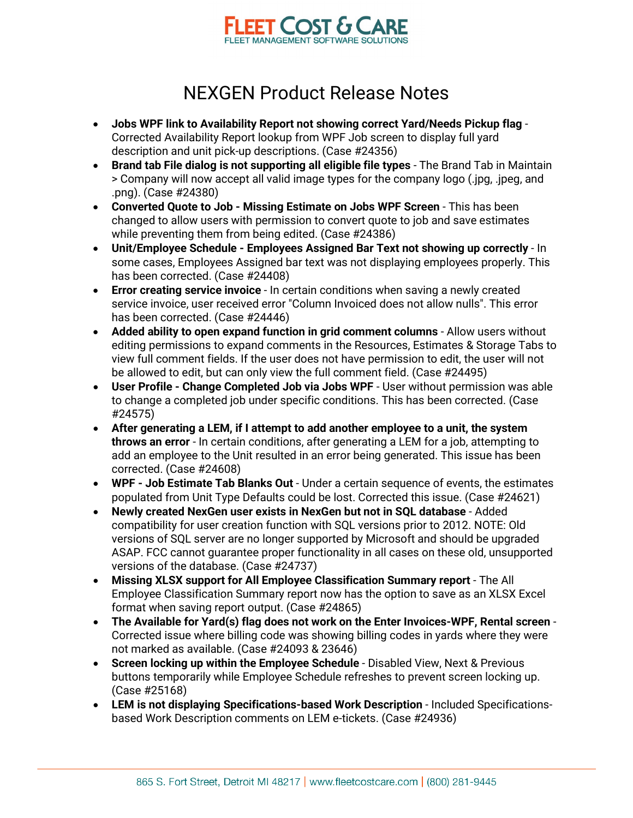

- **Jobs WPF link to Availability Report not showing correct Yard/Needs Pickup flag** Corrected Availability Report lookup from WPF Job screen to display full yard description and unit pick-up descriptions. (Case #24356)
- **Brand tab File dialog is not supporting all eligible file types** The Brand Tab in Maintain > Company will now accept all valid image types for the company logo (.jpg, .jpeg, and .png). (Case #24380)
- **Converted Quote to Job - Missing Estimate on Jobs WPF Screen** This has been changed to allow users with permission to convert quote to job and save estimates while preventing them from being edited. (Case #24386)
- **Unit/Employee Schedule - Employees Assigned Bar Text not showing up correctly** In some cases, Employees Assigned bar text was not displaying employees properly. This has been corrected. (Case #24408)
- **Error creating service invoice** In certain conditions when saving a newly created service invoice, user received error "Column Invoiced does not allow nulls". This error has been corrected. (Case #24446)
- **Added ability to open expand function in grid comment columns** Allow users without editing permissions to expand comments in the Resources, Estimates & Storage Tabs to view full comment fields. If the user does not have permission to edit, the user will not be allowed to edit, but can only view the full comment field. (Case #24495)
- **User Profile - Change Completed Job via Jobs WPF** User without permission was able to change a completed job under specific conditions. This has been corrected. (Case #24575)
- **After generating a LEM, if I attempt to add another employee to a unit, the system throws an error** - In certain conditions, after generating a LEM for a job, attempting to add an employee to the Unit resulted in an error being generated. This issue has been corrected. (Case #24608)
- **WPF - Job Estimate Tab Blanks Out** Under a certain sequence of events, the estimates populated from Unit Type Defaults could be lost. Corrected this issue. (Case #24621)
- **Newly created NexGen user exists in NexGen but not in SQL database** Added compatibility for user creation function with SQL versions prior to 2012. NOTE: Old versions of SQL server are no longer supported by Microsoft and should be upgraded ASAP. FCC cannot guarantee proper functionality in all cases on these old, unsupported versions of the database. (Case #24737)
- **Missing XLSX support for All Employee Classification Summary report** The All Employee Classification Summary report now has the option to save as an XLSX Excel format when saving report output. (Case #24865)
- **The Available for Yard(s) flag does not work on the Enter Invoices-WPF, Rental screen** Corrected issue where billing code was showing billing codes in yards where they were not marked as available. (Case #24093 & 23646)
- **Screen locking up within the Employee Schedule** Disabled View, Next & Previous buttons temporarily while Employee Schedule refreshes to prevent screen locking up. (Case #25168)
- **LEM is not displaying Specifications-based Work Description** Included Specificationsbased Work Description comments on LEM e-tickets. (Case #24936)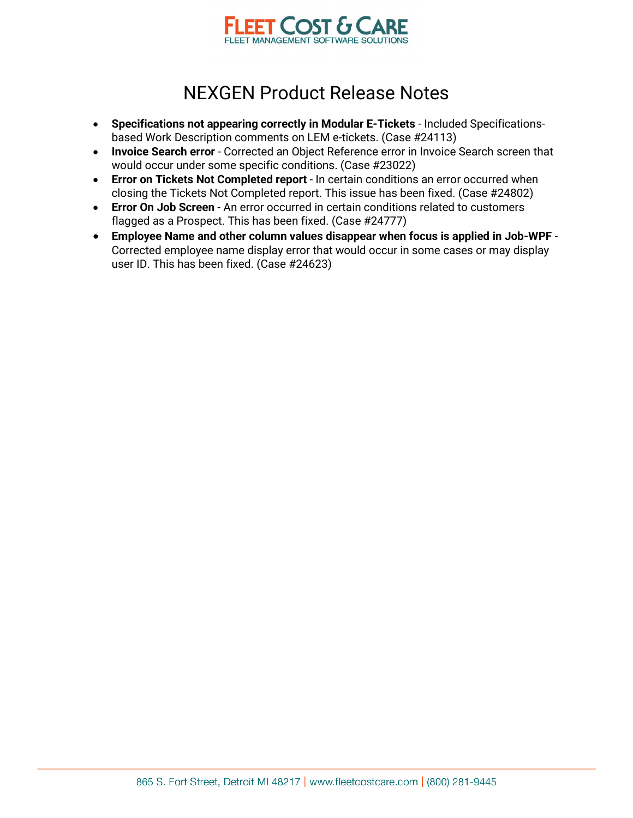

- **Specifications not appearing correctly in Modular E-Tickets** Included Specificationsbased Work Description comments on LEM e-tickets. (Case #24113)
- **Invoice Search error** Corrected an Object Reference error in Invoice Search screen that would occur under some specific conditions. (Case #23022)
- **Error on Tickets Not Completed report** In certain conditions an error occurred when closing the Tickets Not Completed report. This issue has been fixed. (Case #24802)
- **Error On Job Screen** An error occurred in certain conditions related to customers flagged as a Prospect. This has been fixed. (Case #24777)
- **Employee Name and other column values disappear when focus is applied in Job-WPF** Corrected employee name display error that would occur in some cases or may display user ID. This has been fixed. (Case #24623)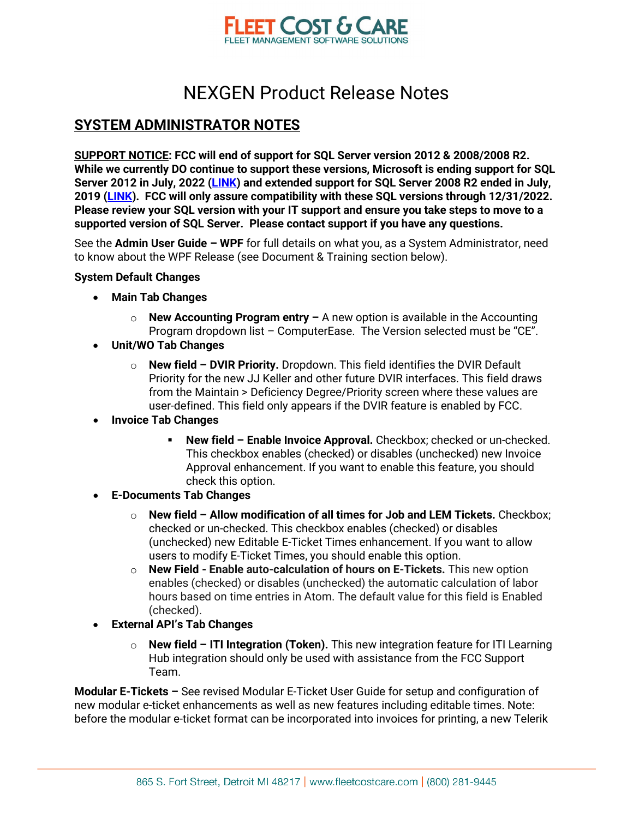

#### **SYSTEM ADMINISTRATOR NOTES**

**SUPPORT NOTICE: FCC will end of support for SQL Server version 2012 & 2008/2008 R2. While we currently DO continue to support these versions, Microsoft is ending support for SQL Server 2012 in July, 2022 [\(LINK\)](https://docs.microsoft.com/en-us/lifecycle/announcements/sql-server-2012-windows-server-2012-end-of-support) and extended support for SQL Server 2008 R2 ended in July, 2019 [\(LINK\)](https://docs.microsoft.com/en-us/troubleshoot/sql/general/end-support-sql-server-2008). FCC will only assure compatibility with these SQL versions through 12/31/2022. Please review your SQL version with your IT support and ensure you take steps to move to a supported version of SQL Server. Please contact support if you have any questions.**

See the **Admin User Guide – WPF** for full details on what you, as a System Administrator, need to know about the WPF Release (see Document & Training section below).

#### **System Default Changes**

- **Main Tab Changes**
	- o **New Accounting Program entry** A new option is available in the Accounting Program dropdown list – ComputerEase. The Version selected must be "CE".
- **Unit/WO Tab Changes** 
	- o **New field DVIR Priority.** Dropdown. This field identifies the DVIR Default Priority for the new JJ Keller and other future DVIR interfaces. This field draws from the Maintain > Deficiency Degree/Priority screen where these values are user-defined. This field only appears if the DVIR feature is enabled by FCC.
- **Invoice Tab Changes** 
	- **New field Enable Invoice Approval.** Checkbox; checked or un-checked. This checkbox enables (checked) or disables (unchecked) new Invoice Approval enhancement. If you want to enable this feature, you should check this option.
- **E-Documents Tab Changes** 
	- o **New field Allow modification of all times for Job and LEM Tickets.** Checkbox; checked or un-checked. This checkbox enables (checked) or disables (unchecked) new Editable E-Ticket Times enhancement. If you want to allow users to modify E-Ticket Times, you should enable this option.
	- o **New Field Enable auto-calculation of hours on E-Tickets.** This new option enables (checked) or disables (unchecked) the automatic calculation of labor hours based on time entries in Atom. The default value for this field is Enabled (checked).
- **External API's Tab Changes** 
	- o **New field ITI Integration (Token).** This new integration feature for ITI Learning Hub integration should only be used with assistance from the FCC Support Team.

**Modular E-Tickets –** See revised Modular E-Ticket User Guide for setup and configuration of new modular e-ticket enhancements as well as new features including editable times. Note: before the modular e-ticket format can be incorporated into invoices for printing, a new Telerik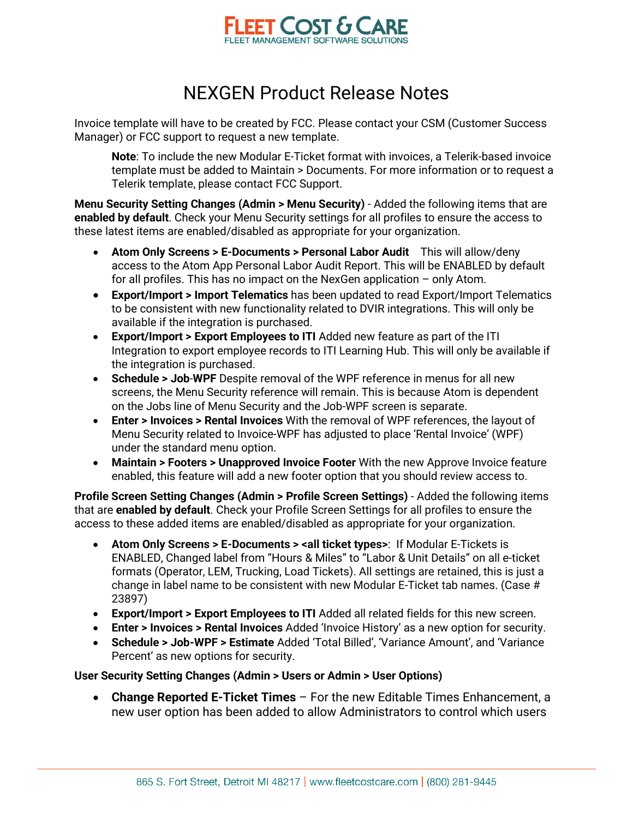

Invoice template will have to be created by FCC. Please contact your CSM (Customer Success Manager) or FCC support to request a new template.

**Note**: To include the new Modular E-Ticket format with invoices, a Telerik-based invoice template must be added to Maintain > Documents. For more information or to request a Telerik template, please contact FCC Support.

**Menu Security Setting Changes (Admin > Menu Security)** - Added the following items that are **enabled by default**. Check your Menu Security settings for all profiles to ensure the access to these latest items are enabled/disabled as appropriate for your organization.

- **Atom Only Screens > E-Documents > Personal Labor Audit** This will allow/deny access to the Atom App Personal Labor Audit Report. This will be ENABLED by default for all profiles. This has no impact on the NexGen application – only Atom.
- **Export/Import > Import Telematics** has been updated to read Export/Import Telematics to be consistent with new functionality related to DVIR integrations. This will only be available if the integration is purchased.
- **Export/Import > Export Employees to ITI** Added new feature as part of the ITI Integration to export employee records to ITI Learning Hub. This will only be available if the integration is purchased.
- **Schedule > Job**-**WPF** Despite removal of the WPF reference in menus for all new screens, the Menu Security reference will remain. This is because Atom is dependent on the Jobs line of Menu Security and the Job-WPF screen is separate.
- **Enter > Invoices > Rental Invoices** With the removal of WPF references, the layout of Menu Security related to Invoice-WPF has adjusted to place 'Rental Invoice' (WPF) under the standard menu option.
- **Maintain > Footers > Unapproved Invoice Footer** With the new Approve Invoice feature enabled, this feature will add a new footer option that you should review access to.

**Profile Screen Setting Changes (Admin > Profile Screen Settings)** - Added the following items that are **enabled by default**. Check your Profile Screen Settings for all profiles to ensure the access to these added items are enabled/disabled as appropriate for your organization.

- **Atom Only Screens > E-Documents > <all ticket types>**: If Modular E-Tickets is ENABLED, Changed label from "Hours & Miles" to "Labor & Unit Details" on all e-ticket formats (Operator, LEM, Trucking, Load Tickets). All settings are retained, this is just a change in label name to be consistent with new Modular E-Ticket tab names. (Case # 23897)
- **Export/Import > Export Employees to ITI** Added all related fields for this new screen.
- **Enter > Invoices > Rental Invoices** Added 'Invoice History' as a new option for security.
- **Schedule > Job-WPF > Estimate** Added 'Total Billed', 'Variance Amount', and 'Variance Percent' as new options for security.

#### **User Security Setting Changes (Admin > Users or Admin > User Options)**

• **Change Reported E-Ticket Times** – For the new Editable Times Enhancement, a new user option has been added to allow Administrators to control which users